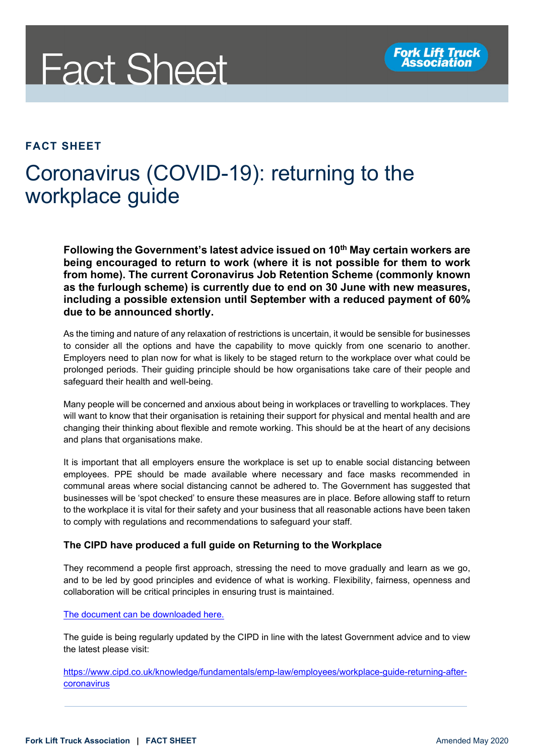

## **FACT SHEET**

## Coronavirus (COVID-19): returning to the workplace guide

Following the Government's latest advice issued on 10<sup>th</sup> May certain workers are **being encouraged to return to work (where it is not possible for them to work from home). The current Coronavirus Job Retention Scheme (commonly known as the furlough scheme) is currently due to end on 30 June with new measures, including a possible extension until September with a reduced payment of 60% due to be announced shortly.**

As the timing and nature of any relaxation of restrictions is uncertain, it would be sensible for businesses to consider all the options and have the capability to move quickly from one scenario to another. Employers need to plan now for what is likely to be staged return to the workplace over what could be prolonged periods. Their guiding principle should be how organisations take care of their people and safeguard their health and well-being.

Many people will be concerned and anxious about being in workplaces or travelling to workplaces. They will want to know that their organisation is retaining their support for physical and mental health and are changing their thinking about flexible and remote working. This should be at the heart of any decisions and plans that organisations make.

It is important that all employers ensure the workplace is set up to enable social distancing between employees. PPE should be made available where necessary and face masks recommended in communal areas where social distancing cannot be adhered to. The Government has suggested that businesses will be 'spot checked' to ensure these measures are in place. Before allowing staff to return to the workplace it is vital for their safety and your business that all reasonable actions have been taken to comply with regulations and recommendations to safeguard your staff.

## **The CIPD have produced a full guide on Returning to the Workplace**

They recommend a people first approach, stressing the need to move gradually and learn as we go, and to be led by good principles and evidence of what is working. Flexibility, fairness, openness and collaboration will be critical principles in ensuring trust is maintained.

[The document can be downloaded here.](https://www.cipd.co.uk/Export/ToPdf?path=%252fknowledge%252ffundamentals%252femp-law%252femployees%252fworkplace-guide-returning-after-coronavirus)

The guide is being regularly updated by the CIPD in line with the latest Government advice and to view the latest please visit:

[https://www.cipd.co.uk/knowledge/fundamentals/emp-law/employees/workplace-guide-returning-after](https://www.cipd.co.uk/knowledge/fundamentals/emp-law/employees/workplace-guide-returning-after-coronavirus)[coronavirus](https://www.cipd.co.uk/knowledge/fundamentals/emp-law/employees/workplace-guide-returning-after-coronavirus)